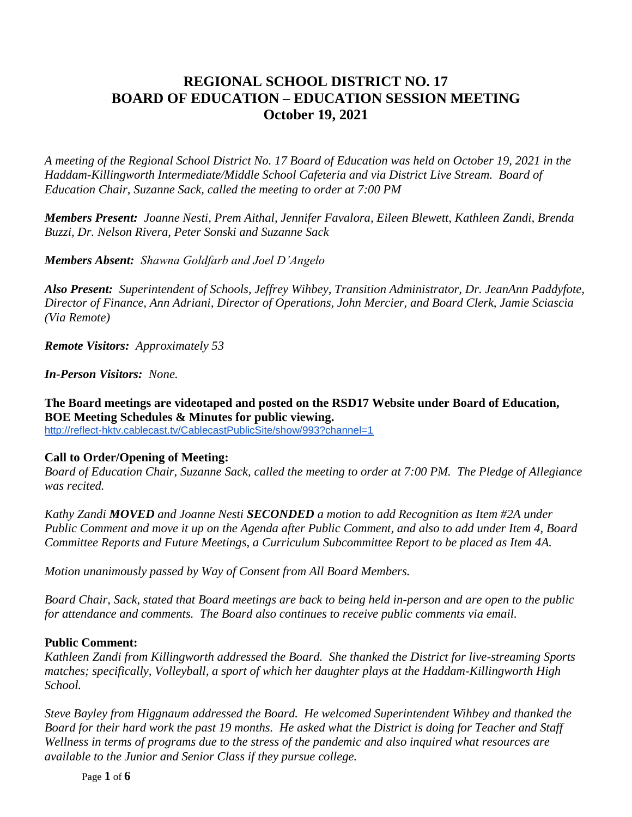## **REGIONAL SCHOOL DISTRICT NO. 17 BOARD OF EDUCATION – EDUCATION SESSION MEETING October 19, 2021**

*A meeting of the Regional School District No. 17 Board of Education was held on October 19, 2021 in the Haddam-Killingworth Intermediate/Middle School Cafeteria and via District Live Stream. Board of Education Chair, Suzanne Sack, called the meeting to order at 7:00 PM*

*Members Present: Joanne Nesti, Prem Aithal, Jennifer Favalora, Eileen Blewett, Kathleen Zandi, Brenda Buzzi, Dr. Nelson Rivera, Peter Sonski and Suzanne Sack*

*Members Absent: Shawna Goldfarb and Joel D'Angelo*

*Also Present: Superintendent of Schools, Jeffrey Wihbey, Transition Administrator, Dr. JeanAnn Paddyfote, Director of Finance, Ann Adriani, Director of Operations, John Mercier, and Board Clerk, Jamie Sciascia (Via Remote)*

*Remote Visitors: Approximately 53*

*In-Person Visitors: None.*

**The Board meetings are videotaped and posted on the RSD17 Website under Board of Education, BOE Meeting Schedules & Minutes for public viewing.**  <http://reflect-hktv.cablecast.tv/CablecastPublicSite/show/993?channel=1>

# **Call to Order/Opening of Meeting:**

*Board of Education Chair, Suzanne Sack, called the meeting to order at 7:00 PM. The Pledge of Allegiance was recited.*

*Kathy Zandi MOVED and Joanne Nesti SECONDED a motion to add Recognition as Item #2A under Public Comment and move it up on the Agenda after Public Comment, and also to add under Item 4, Board Committee Reports and Future Meetings, a Curriculum Subcommittee Report to be placed as Item 4A.*

*Motion unanimously passed by Way of Consent from All Board Members.*

*Board Chair, Sack, stated that Board meetings are back to being held in-person and are open to the public for attendance and comments. The Board also continues to receive public comments via email.*

## **Public Comment:**

*Kathleen Zandi from Killingworth addressed the Board. She thanked the District for live-streaming Sports matches; specifically, Volleyball, a sport of which her daughter plays at the Haddam-Killingworth High School.*

*Steve Bayley from Higgnaum addressed the Board. He welcomed Superintendent Wihbey and thanked the Board for their hard work the past 19 months. He asked what the District is doing for Teacher and Staff Wellness in terms of programs due to the stress of the pandemic and also inquired what resources are available to the Junior and Senior Class if they pursue college.*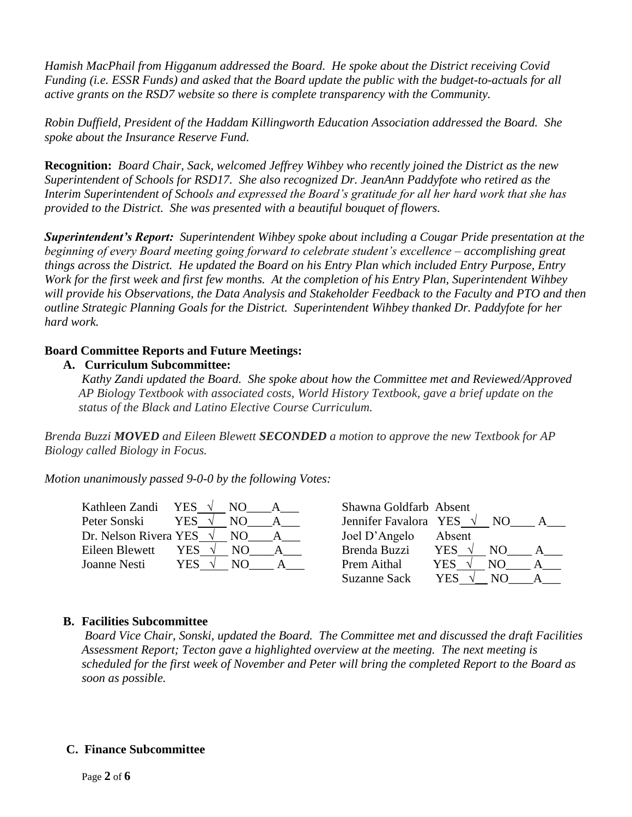*Hamish MacPhail from Higganum addressed the Board. He spoke about the District receiving Covid Funding (i.e. ESSR Funds) and asked that the Board update the public with the budget-to-actuals for all active grants on the RSD7 website so there is complete transparency with the Community.* 

*Robin Duffield, President of the Haddam Killingworth Education Association addressed the Board. She spoke about the Insurance Reserve Fund.*

**Recognition:** *Board Chair, Sack, welcomed Jeffrey Wihbey who recently joined the District as the new Superintendent of Schools for RSD17. She also recognized Dr. JeanAnn Paddyfote who retired as the Interim Superintendent of Schools and expressed the Board's gratitude for all her hard work that she has provided to the District. She was presented with a beautiful bouquet of flowers.*

*Superintendent's Report: Superintendent Wihbey spoke about including a Cougar Pride presentation at the beginning of every Board meeting going forward to celebrate student's excellence – accomplishing great things across the District. He updated the Board on his Entry Plan which included Entry Purpose, Entry Work for the first week and first few months. At the completion of his Entry Plan, Superintendent Wihbey will provide his Observations, the Data Analysis and Stakeholder Feedback to the Faculty and PTO and then outline Strategic Planning Goals for the District. Superintendent Wihbey thanked Dr. Paddyfote for her hard work.* 

## **Board Committee Reports and Future Meetings:**

## **A. Curriculum Subcommittee:**

*Kathy Zandi updated the Board. She spoke about how the Committee met and Reviewed/Approved AP Biology Textbook with associated costs, World History Textbook, gave a brief update on the status of the Black and Latino Elective Course Curriculum.*

*Brenda Buzzi MOVED and Eileen Blewett SECONDED a motion to approve the new Textbook for AP Biology called Biology in Focus.*

*Motion unanimously passed 9-0-0 by the following Votes:*

| Kathleen Zandi YES $\sqrt{}$    |     | NO. | Shawna Goldfarb Absent          |            |     |  |
|---------------------------------|-----|-----|---------------------------------|------------|-----|--|
| Peter Sonski                    | YES | N() | Jennifer Favalora YES $\sqrt{}$ |            | NO. |  |
| Dr. Nelson Rivera YES $\sqrt{}$ |     | NO. | Joel D'Angelo                   | Absent     |     |  |
| Eileen Blewett                  | YES | NO. | Brenda Buzzi                    | <b>YES</b> | NO. |  |
| Joanne Nesti                    | YES | N() | Prem Aithal                     | YES        | NO. |  |
|                                 |     |     | <b>Suzanne Sack</b>             | YES        |     |  |

## **B. Facilities Subcommittee**

*Board Vice Chair, Sonski, updated the Board. The Committee met and discussed the draft Facilities Assessment Report; Tecton gave a highlighted overview at the meeting. The next meeting is scheduled for the first week of November and Peter will bring the completed Report to the Board as soon as possible.*

## **C. Finance Subcommittee**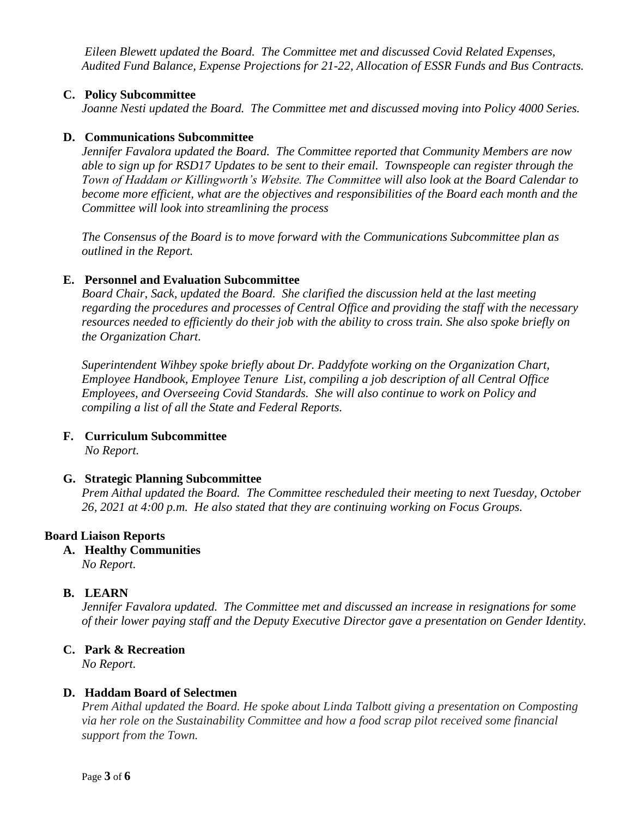*Eileen Blewett updated the Board. The Committee met and discussed Covid Related Expenses, Audited Fund Balance, Expense Projections for 21-22, Allocation of ESSR Funds and Bus Contracts.* 

## **C. Policy Subcommittee**

*Joanne Nesti updated the Board. The Committee met and discussed moving into Policy 4000 Series.*

#### **D. Communications Subcommittee**

*Jennifer Favalora updated the Board. The Committee reported that Community Members are now able to sign up for RSD17 Updates to be sent to their email. Townspeople can register through the Town of Haddam or Killingworth's Website. The Committee will also look at the Board Calendar to become more efficient, what are the objectives and responsibilities of the Board each month and the Committee will look into streamlining the process*

*The Consensus of the Board is to move forward with the Communications Subcommittee plan as outlined in the Report.*

#### **E. Personnel and Evaluation Subcommittee**

*Board Chair*, *Sack, updated the Board. She clarified the discussion held at the last meeting regarding the procedures and processes of Central Office and providing the staff with the necessary resources needed to efficiently do their job with the ability to cross train. She also spoke briefly on the Organization Chart.*

*Superintendent Wihbey spoke briefly about Dr. Paddyfote working on the Organization Chart, Employee Handbook, Employee Tenure List, compiling a job description of all Central Office Employees, and Overseeing Covid Standards. She will also continue to work on Policy and compiling a list of all the State and Federal Reports.*

#### **F. Curriculum Subcommittee**

*No Report.*

#### **G. Strategic Planning Subcommittee**

*Prem Aithal updated the Board. The Committee rescheduled their meeting to next Tuesday, October 26, 2021 at 4:00 p.m. He also stated that they are continuing working on Focus Groups.*

#### **Board Liaison Reports**

**A. Healthy Communities**

*No Report.*

## **B. LEARN**

*Jennifer Favalora updated. The Committee met and discussed an increase in resignations for some of their lower paying staff and the Deputy Executive Director gave a presentation on Gender Identity.*

## **C. Park & Recreation**

*No Report.* 

## **D. Haddam Board of Selectmen**

*Prem Aithal updated the Board. He spoke about Linda Talbott giving a presentation on Composting via her role on the Sustainability Committee and how a food scrap pilot received some financial support from the Town.*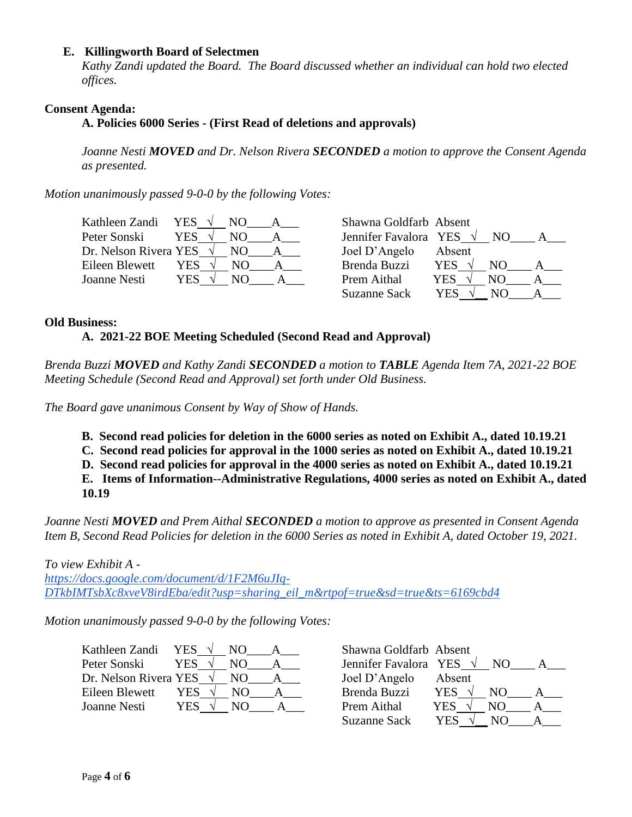## **E. Killingworth Board of Selectmen**

*Kathy Zandi updated the Board. The Board discussed whether an individual can hold two elected offices.*

## **Consent Agenda:**

 **A. Policies 6000 Series - (First Read of deletions and approvals)** 

*Joanne Nesti MOVED and Dr. Nelson Rivera SECONDED a motion to approve the Consent Agenda as presented.*

*Motion unanimously passed 9-0-0 by the following Votes:*

| Kathleen Zandi YES $\sqrt{}$    |            |     | Shawna Goldfarb Absent |        |     |  |
|---------------------------------|------------|-----|------------------------|--------|-----|--|
| Peter Sonski                    | <b>YES</b> |     | Jennifer Favalora YES  |        | NO. |  |
| Dr. Nelson Rivera YES $\sqrt{}$ |            | NO. | Joel D'Angelo          | Absent |     |  |
| Eileen Blewett                  | YES        | NO. | Brenda Buzzi           | YES.   | NO. |  |
| Joanne Nesti                    | YES        | N() | Prem Aithal            | YES    | NO  |  |
|                                 |            |     | <b>Suzanne Sack</b>    | YES    | NO. |  |

## **Old Business:**

## **A. 2021-22 BOE Meeting Scheduled (Second Read and Approval)**

*Brenda Buzzi MOVED and Kathy Zandi SECONDED a motion to TABLE Agenda Item 7A, 2021-22 BOE Meeting Schedule (Second Read and Approval) set forth under Old Business.* 

*The Board gave unanimous Consent by Way of Show of Hands.* 

**B. Second read policies for deletion in the 6000 series as noted on Exhibit A., dated 10.19.21** 

**C. Second read policies for approval in the 1000 series as noted on Exhibit A., dated 10.19.21** 

**D. Second read policies for approval in the 4000 series as noted on Exhibit A., dated 10.19.21**

**E. Items of Information--Administrative Regulations, 4000 series as noted on Exhibit A., dated 10.19**

*Joanne Nesti MOVED and Prem Aithal SECONDED a motion to approve as presented in Consent Agenda Item B, Second Read Policies for deletion in the 6000 Series as noted in Exhibit A, dated October 19, 2021.*

*To view Exhibit A [https://docs.google.com/document/d/1F2M6uJIq-](https://docs.google.com/document/d/1F2M6uJIq-DTkbIMTsbXc8xveV8irdEba/edit?usp=sharing_eil_m&rtpof=true&sd=true&ts=6169cbd4)[DTkbIMTsbXc8xveV8irdEba/edit?usp=sharing\\_eil\\_m&rtpof=true&sd=true&ts=6169cbd4](https://docs.google.com/document/d/1F2M6uJIq-DTkbIMTsbXc8xveV8irdEba/edit?usp=sharing_eil_m&rtpof=true&sd=true&ts=6169cbd4)*

*Motion unanimously passed 9-0-0 by the following Votes:*

| Kathleen Zandi                  | <b>YES</b> | NO. | Shawna Goldfarb Absent          |                  |  |
|---------------------------------|------------|-----|---------------------------------|------------------|--|
| Peter Sonski                    | YES.       | NO  | Jennifer Favalora YES $\sqrt{}$ | NO.              |  |
| Dr. Nelson Rivera YES $\sqrt{}$ |            | NO. | Joel D'Angelo                   | Absent           |  |
| Eileen Blewett                  | YES        | NO. | Brenda Buzzi                    | <b>YES</b><br>NΟ |  |
| Joanne Nesti                    | <b>YES</b> | NΩ  | Prem Aithal                     | YES              |  |
|                                 |            |     |                                 |                  |  |

| Shawna Goldfarb Absent          |            |                 |  |
|---------------------------------|------------|-----------------|--|
| Jennifer Favalora YES $\sqrt{}$ |            | NO.             |  |
| Joel D'Angelo                   | Absent     |                 |  |
| <b>Brenda Buzzi</b>             | YES ·      | NO <sub>1</sub> |  |
| Prem Aithal                     | <b>YES</b> | NO.             |  |
| <b>Suzanne Sack</b>             | <b>YES</b> | NO.             |  |
|                                 |            |                 |  |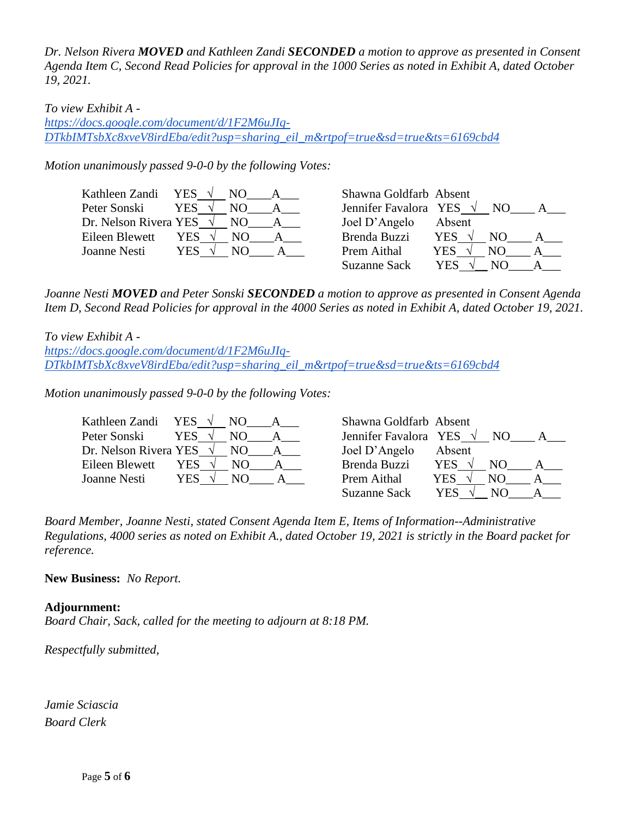*Dr. Nelson Rivera MOVED and Kathleen Zandi SECONDED a motion to approve as presented in Consent Agenda Item C, Second Read Policies for approval in the 1000 Series as noted in Exhibit A, dated October 19, 2021.*

## *To view Exhibit A -*

*[https://docs.google.com/document/d/1F2M6uJIq-](https://docs.google.com/document/d/1F2M6uJIq-DTkbIMTsbXc8xveV8irdEba/edit?usp=sharing_eil_m&rtpof=true&sd=true&ts=6169cbd4)[DTkbIMTsbXc8xveV8irdEba/edit?usp=sharing\\_eil\\_m&rtpof=true&sd=true&ts=6169cbd4](https://docs.google.com/document/d/1F2M6uJIq-DTkbIMTsbXc8xveV8irdEba/edit?usp=sharing_eil_m&rtpof=true&sd=true&ts=6169cbd4)*

*Motion unanimously passed 9-0-0 by the following Votes:*

| Kathleen Zandi YES              |            |     | Shawna Goldfarb Absent          |            |                |  |
|---------------------------------|------------|-----|---------------------------------|------------|----------------|--|
| Peter Sonski                    | <b>YES</b> | NO. | Jennifer Favalora YES $\sqrt{}$ |            | N <sub>O</sub> |  |
| Dr. Nelson Rivera YES $\sqrt{}$ |            | NO. | Joel D'Angelo                   | Absent     |                |  |
| Eileen Blewett                  | YES        | NO. | Brenda Buzzi                    | <b>YES</b> | NO.            |  |
| Joanne Nesti                    | YES .      | NO  | Prem Aithal                     | YES.       |                |  |
|                                 |            |     | <b>Suzanne Sack</b>             | YES        | NO.            |  |

*Joanne Nesti MOVED and Peter Sonski SECONDED a motion to approve as presented in Consent Agenda Item D, Second Read Policies for approval in the 4000 Series as noted in Exhibit A, dated October 19, 2021.*

*To view Exhibit A [https://docs.google.com/document/d/1F2M6uJIq-](https://docs.google.com/document/d/1F2M6uJIq-DTkbIMTsbXc8xveV8irdEba/edit?usp=sharing_eil_m&rtpof=true&sd=true&ts=6169cbd4)[DTkbIMTsbXc8xveV8irdEba/edit?usp=sharing\\_eil\\_m&rtpof=true&sd=true&ts=6169cbd4](https://docs.google.com/document/d/1F2M6uJIq-DTkbIMTsbXc8xveV8irdEba/edit?usp=sharing_eil_m&rtpof=true&sd=true&ts=6169cbd4)*

*Motion unanimously passed 9-0-0 by the following Votes:*

| Kathleen Zandi YES $\sqrt{}$    |       | NO. | Shawna Goldfarb Absent          |            |     |  |
|---------------------------------|-------|-----|---------------------------------|------------|-----|--|
| Peter Sonski                    | YES.  | NO. | Jennifer Favalora YES $\sqrt{}$ |            | NO  |  |
| Dr. Nelson Rivera YES $\sqrt{}$ |       | NO. | Joel D'Angelo                   | Absent     |     |  |
| Eileen Blewett                  | YES . | NO. | Brenda Buzzi                    | <b>YES</b> | NО  |  |
| Joanne Nesti                    | YES   | NO. | Prem Aithal                     | YES.       | NO. |  |
|                                 |       |     | <b>Suzanne Sack</b>             | YES        | NO. |  |

*Board Member, Joanne Nesti, stated Consent Agenda Item E, Items of Information--Administrative Regulations, 4000 series as noted on Exhibit A., dated October 19, 2021 is strictly in the Board packet for reference.* 

**New Business:** *No Report.*

## **Adjournment:**

*Board Chair, Sack, called for the meeting to adjourn at 8:18 PM.*

*Respectfully submitted,*

*Jamie Sciascia Board Clerk*